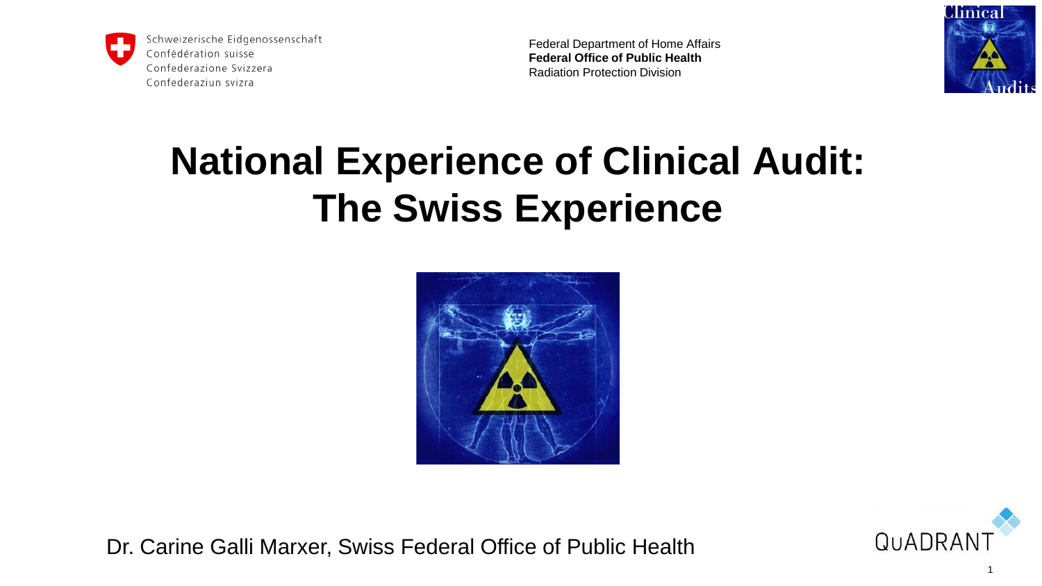

Federal Department of Home Affairs **Federal Office of Public Health**  Radiation Protection Division



# **National Experience of Clinical Audit: The Swiss Experience**





Dr. Carine Galli Marxer, Swiss Federal Office of Public Health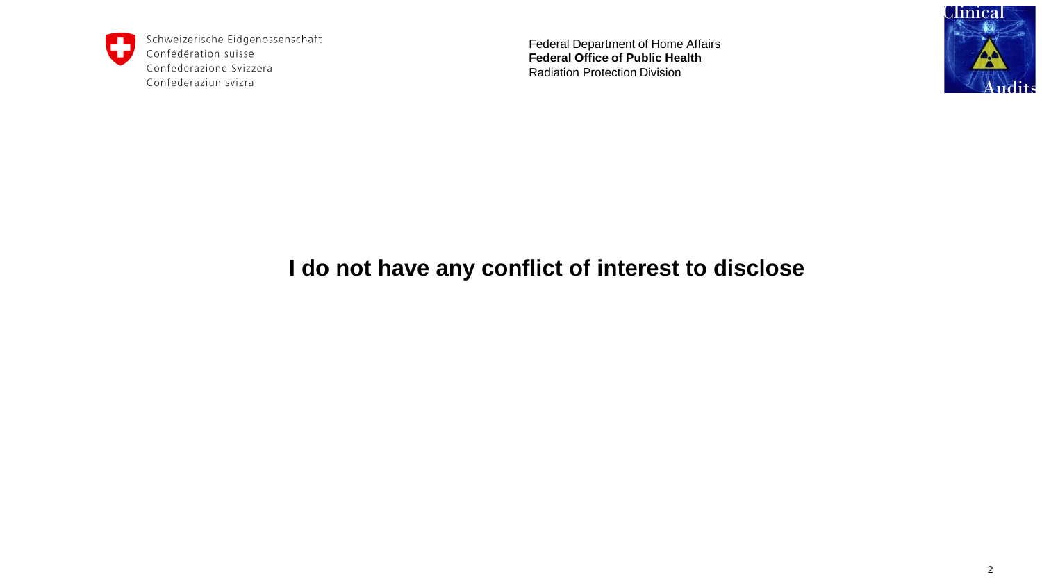

Federal Department of Home Affairs **Federal Office of Public Health**  Radiation Protection Division



#### **I do not have any conflict of interest to disclose**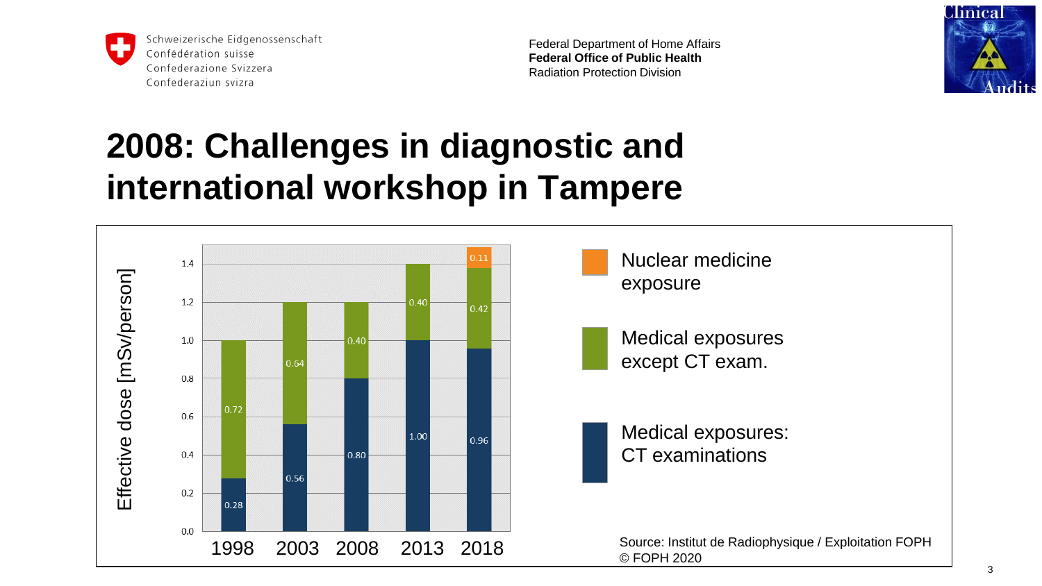

Federal Department of Home Affairs **Federal Office of Public Health**  Radiation Protection Division



### **2008: Challenges in diagnostic and international workshop in Tampere**

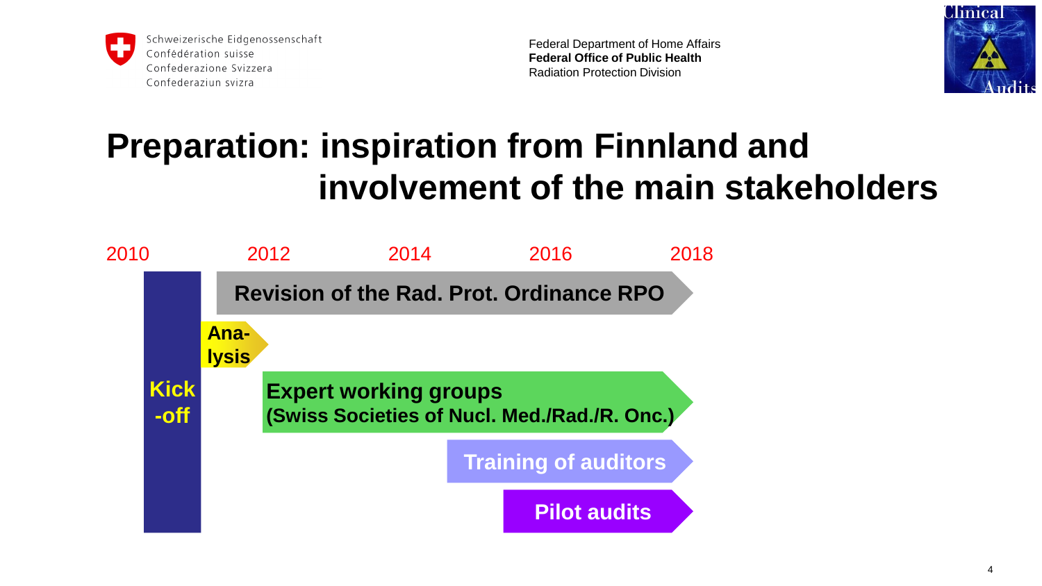

Federal Department of Home Affairs **Federal Office of Public Health**  Radiation Protection Division



## **Preparation: inspiration from Finnland and involvement of the main stakeholders**

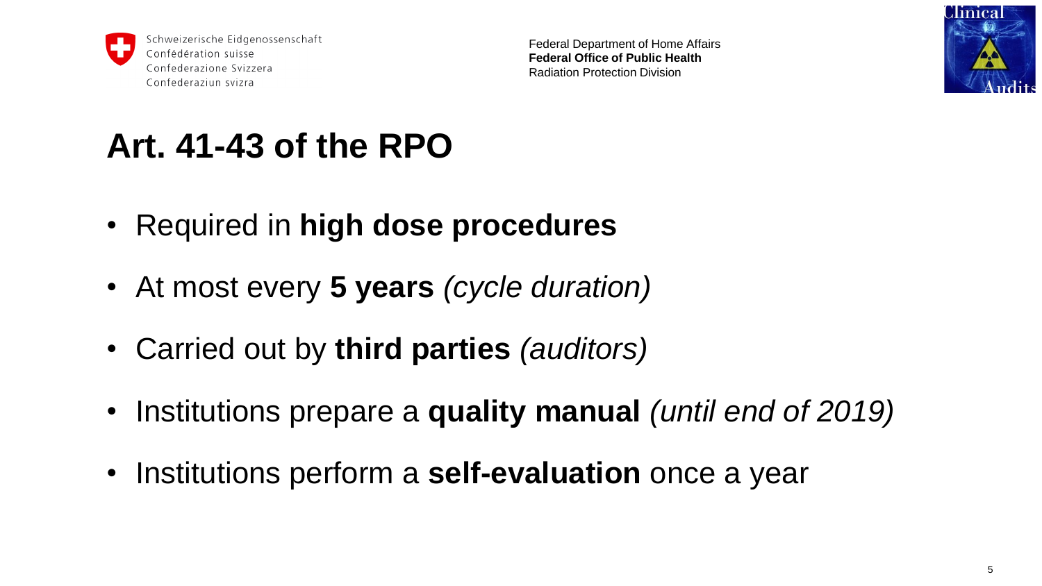

Federal Department of Home Affairs **Federal Office of Public Health**  Radiation Protection Division



## **Art. 41-43 of the RPO**

- Required in **high dose procedures**
- At most every **5 years** *(cycle duration)*
- Carried out by **third parties** *(auditors)*
- Institutions prepare a **quality manual** *(until end of 2019)*
- Institutions perform a **self-evaluation** once a year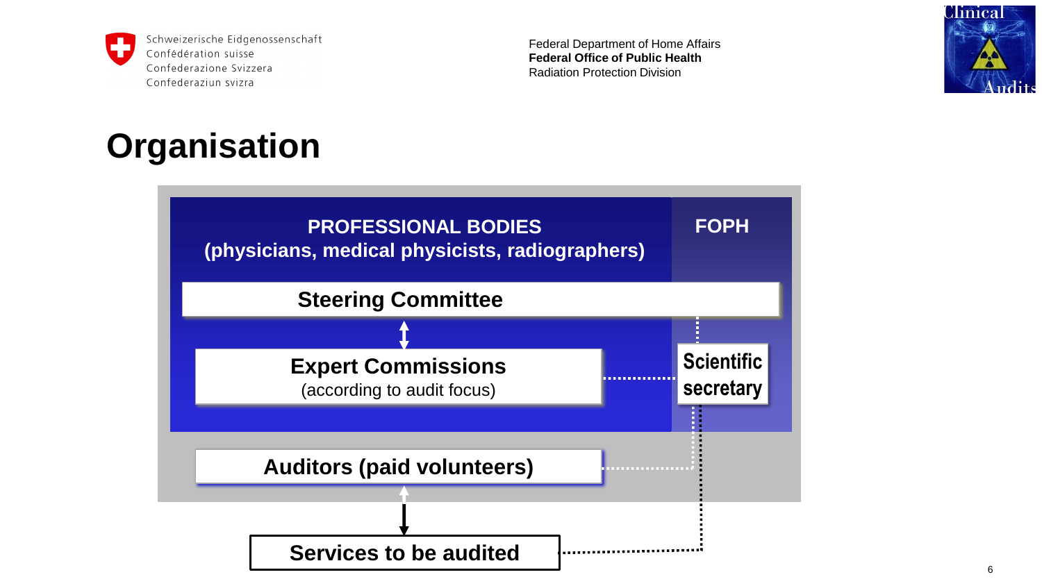

Federal Department of Home Affairs **Federal Office of Public Health**  Radiation Protection Division



### **Organisation**

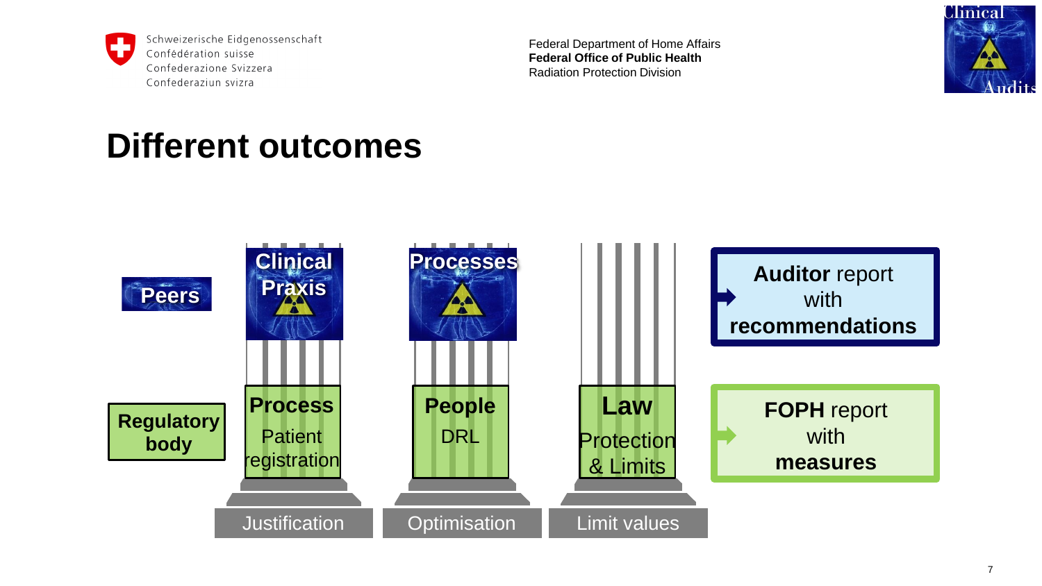

Federal Department of Home Affairs **Federal Office of Public Health**  Radiation Protection Division



#### **Different outcomes**

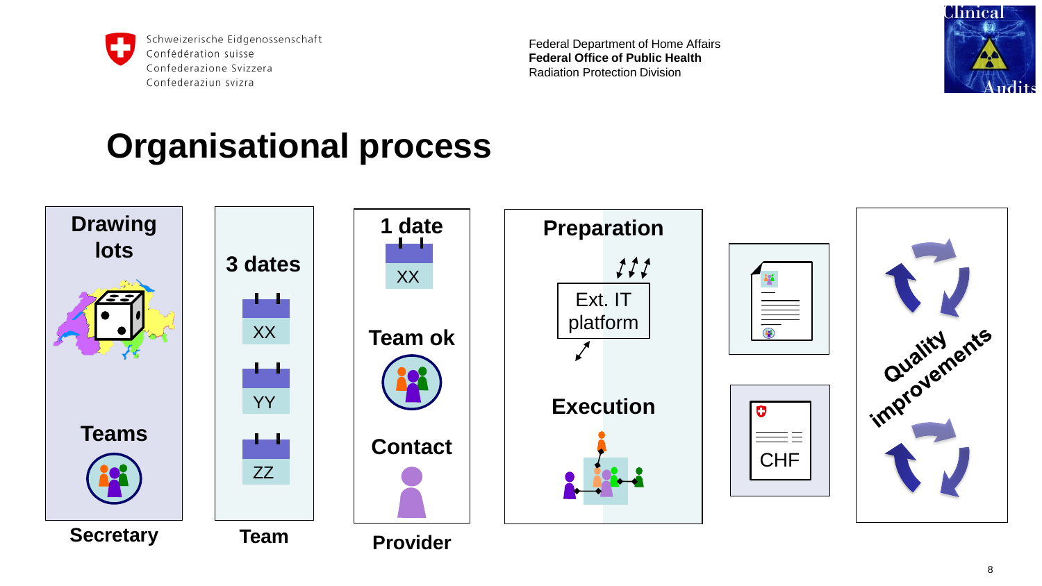

Federal Department of Home Affairs **Federal Office of Public Health**  Radiation Protection Division



### **Organisational process**

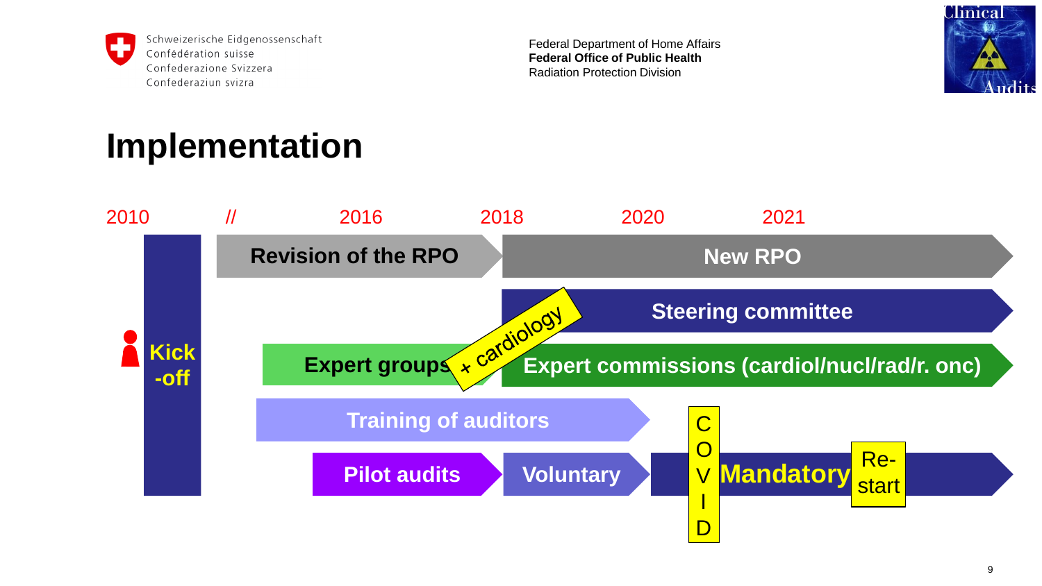

Federal Department of Home Affairs **Federal Office of Public Health**  Radiation Protection Division



### **Implementation**

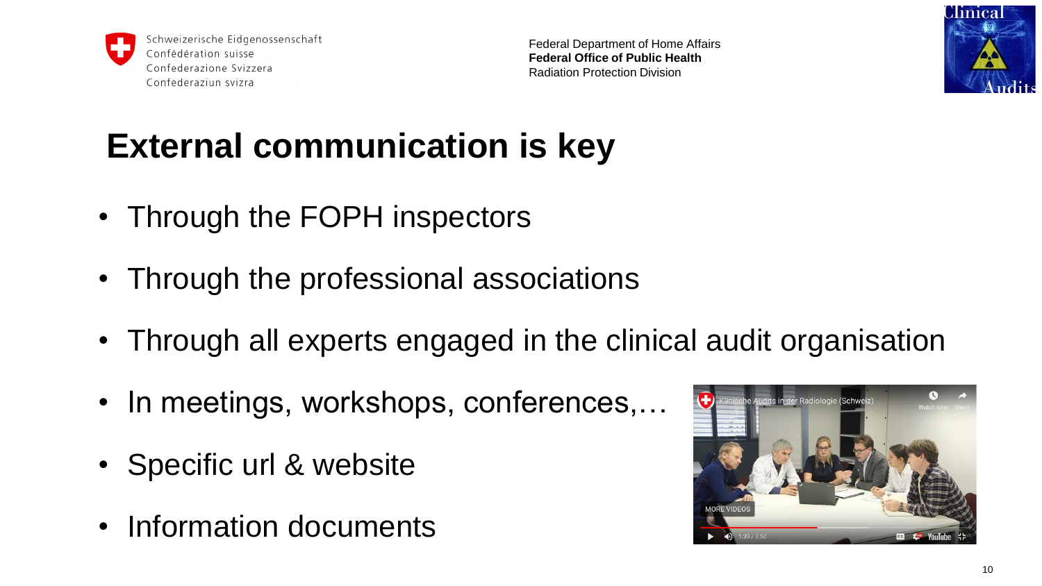

Federal Department of Home Affairs **Federal Office of Public Health**  Radiation Protection Division



## **External communication is key**

- Through the FOPH inspectors
- Through the professional associations
- Through all experts engaged in the clinical audit organisation
- In meetings, workshops, conferences,...
- Specific url & website
- Information documents

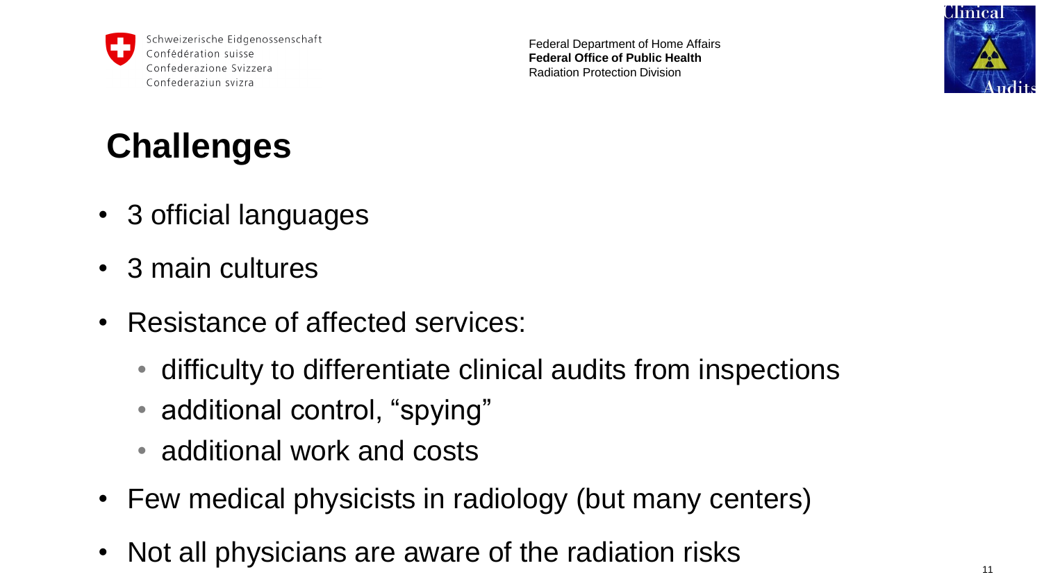

Federal Department of Home Affairs **Federal Office of Public Health**  Radiation Protection Division



## **Challenges**

- 3 official languages
- 3 main cultures
- Resistance of affected services:
	- difficulty to differentiate clinical audits from inspections
	- additional control, "spying"
	- additional work and costs
- Few medical physicists in radiology (but many centers)
- Not all physicians are aware of the radiation risks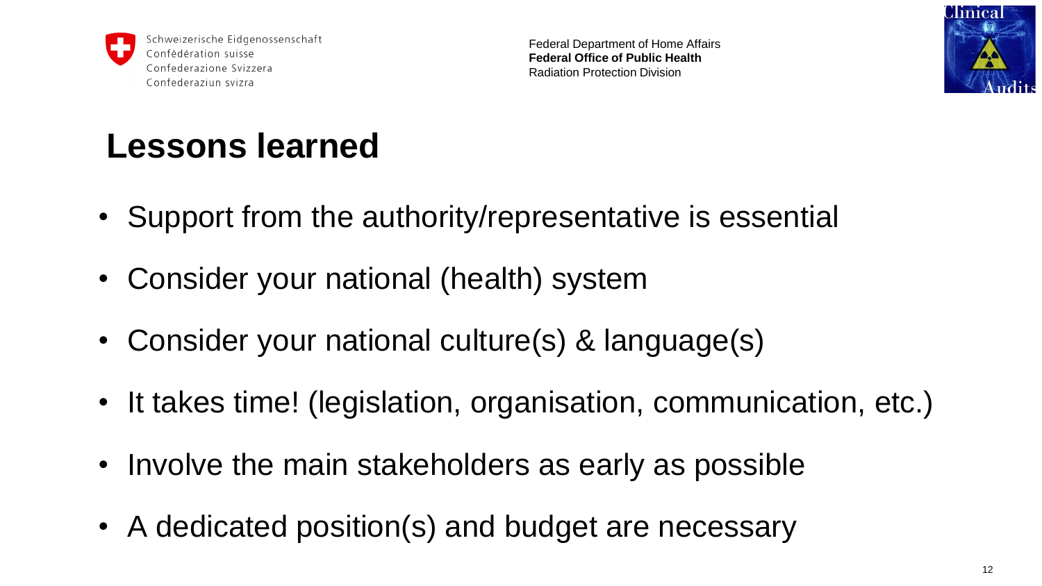

Federal Department of Home Affairs **Federal Office of Public Health**  Radiation Protection Division



## **Lessons learned**

- Support from the authority/representative is essential
- Consider your national (health) system
- Consider your national culture(s) & language(s)
- It takes time! (legislation, organisation, communication, etc.)
- Involve the main stakeholders as early as possible
- A dedicated position(s) and budget are necessary